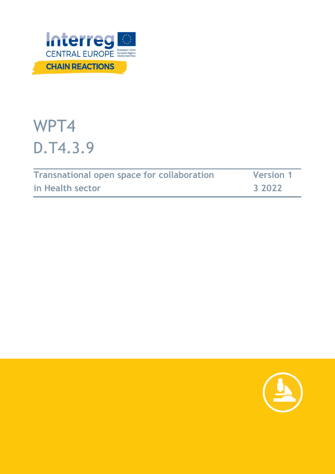

# WPT4 D.T4.3.9

| <b>Transnational open space for collaboration</b> | <b>Version 1</b> |
|---------------------------------------------------|------------------|
| in Health sector                                  | 3 2022           |

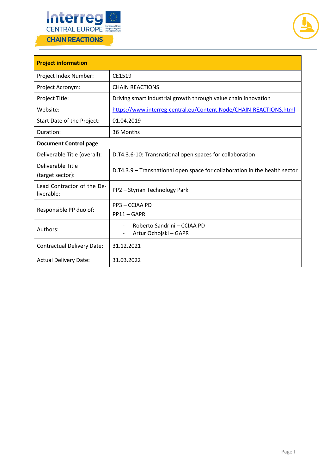



| <b>Project information</b>               |                                                                            |  |  |
|------------------------------------------|----------------------------------------------------------------------------|--|--|
| Project Index Number:                    | CE1519                                                                     |  |  |
| Project Acronym:                         | <b>CHAIN REACTIONS</b>                                                     |  |  |
| Project Title:                           | Driving smart industrial growth through value chain innovation             |  |  |
| Website:                                 | https://www.interreg-central.eu/Content.Node/CHAIN-REACTIONS.html          |  |  |
| Start Date of the Project:               | 01.04.2019                                                                 |  |  |
| Duration:                                | 36 Months                                                                  |  |  |
| <b>Document Control page</b>             |                                                                            |  |  |
| Deliverable Title (overall):             | D.T4.3.6-10: Transnational open spaces for collaboration                   |  |  |
| Deliverable Title<br>(target sector):    | D.T4.3.9 – Transnational open space for collaboration in the health sector |  |  |
| Lead Contractor of the De-<br>liverable: | PP2 - Styrian Technology Park                                              |  |  |
| Responsible PP duo of:                   | PP3 - CCIAA PD<br>$PP11 - GAPR$                                            |  |  |
| Authors:                                 | Roberto Sandrini - CCIAA PD<br>Artur Ochojski - GAPR                       |  |  |
| <b>Contractual Delivery Date:</b>        | 31.12.2021                                                                 |  |  |
| <b>Actual Delivery Date:</b>             | 31.03.2022                                                                 |  |  |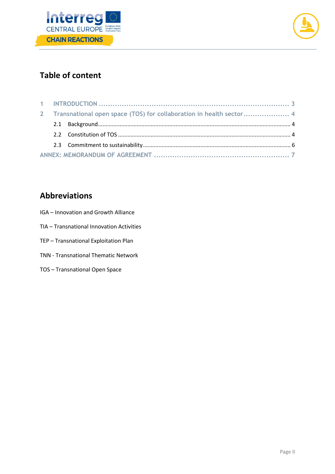



# **Table of content**

| 2 Transnational open space (TOS) for collaboration in health sector 4 |  |  |
|-----------------------------------------------------------------------|--|--|
|                                                                       |  |  |
|                                                                       |  |  |
|                                                                       |  |  |
|                                                                       |  |  |

# **Abbreviations**

- IGA Innovation and Growth Alliance
- TIA Transnational Innovation Activities
- TEP Transnational Exploitation Plan
- TNN Transnational Thematic Network
- TOS Transnational Open Space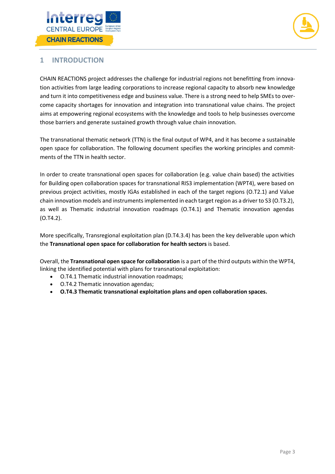



## <span id="page-3-0"></span>**1 INTRODUCTION**

CHAIN REACTIONS project addresses the challenge for industrial regions not benefitting from innovation activities from large leading corporations to increase regional capacity to absorb new knowledge and turn it into competitiveness edge and business value. There is a strong need to help SMEs to overcome capacity shortages for innovation and integration into transnational value chains. The project aims at empowering regional ecosystems with the knowledge and tools to help businesses overcome those barriers and generate sustained growth through value chain innovation.

The transnational thematic network (TTN) is the final output of WP4, and it has become a sustainable open space for collaboration. The following document specifies the working principles and commitments of the TTN in health sector.

In order to create transnational open spaces for collaboration (e.g. value chain based) the activities for Building open collaboration spaces for transnational RIS3 implementation (WPT4), were based on previous project activities, mostly IGAs established in each of the target regions (O.T2.1) and Value chain innovation models and instruments implemented in each target region as a driver to S3 (O.T3.2), as well as Thematic industrial innovation roadmaps (O.T4.1) and Thematic innovation agendas (O.T4.2).

More specifically, Transregional exploitation plan (D.T4.3.4) has been the key deliverable upon which the **Transnational open space for collaboration for health sectors** is based.

Overall, the **Transnational open space for collaboration** is a part of the third outputs within the WPT4, linking the identified potential with plans for transnational exploitation:

- O.T4.1 Thematic industrial innovation roadmaps;
- O.T4.2 Thematic innovation agendas;
- **O.T4.3 Thematic transnational exploitation plans and open collaboration spaces.**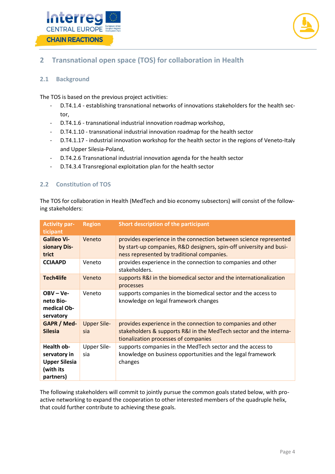



## <span id="page-4-0"></span>**2 Transnational open space (TOS) for collaboration in Health**

### <span id="page-4-1"></span>**2.1 Background**

The TOS is based on the previous project activities:

- D.T4.1.4 establishing transnational networks of innovations stakeholders for the health sector,
- D.T4.1.6 transnational industrial innovation roadmap workshop,
- D.T4.1.10 transnational industrial innovation roadmap for the health sector
- D.T4.1.17 industrial innovation workshop for the health sector in the regions of Veneto-Italy and Upper Silesia-Poland,
- D.T4.2.6 Transnational industrial innovation agenda for the health sector
- D.T4.3.4 Transregional exploitation plan for the health sector

#### <span id="page-4-2"></span>**2.2 Constitution of TOS**

The TOS for collaboration in Health (MedTech and bio economy subsectors) will consist of the following stakeholders:

| <b>Activity par-</b><br>ticipant                                             | <b>Region</b>             | Short description of the participant                                                                                                                                                   |
|------------------------------------------------------------------------------|---------------------------|----------------------------------------------------------------------------------------------------------------------------------------------------------------------------------------|
| <b>Galileo Vi-</b><br>sionary Dis-<br>trict                                  | Veneto                    | provides experience in the connection between science represented<br>by start-up companies, R&D designers, spin-off university and busi-<br>ness represented by traditional companies. |
| <b>CCIAAPD</b>                                                               | Veneto                    | provides experience in the connection to companies and other<br>stakeholders.                                                                                                          |
| <b>Tech4life</b>                                                             | Veneto                    | supports R&I in the biomedical sector and the internationalization<br>processes                                                                                                        |
| $OBV - Ve -$<br>neto Bio-<br>medical Ob-<br>servatory                        | Veneto                    | supports companies in the biomedical sector and the access to<br>knowledge on legal framework changes                                                                                  |
| GAPR / Med-<br><b>Silesia</b>                                                | <b>Upper Sile-</b><br>sia | provides experience in the connection to companies and other<br>stakeholders & supports R&I in the MedTech sector and the interna-<br>tionalization processes of companies             |
| Health ob-<br>servatory in<br><b>Upper Silesia</b><br>(with its<br>partners) | <b>Upper Sile-</b><br>sia | supports companies in the MedTech sector and the access to<br>knowledge on business opportunities and the legal framework<br>changes                                                   |

The following stakeholders will commit to jointly pursue the common goals stated below, with proactive networking to expand the cooperation to other interested members of the quadruple helix, that could further contribute to achieving these goals.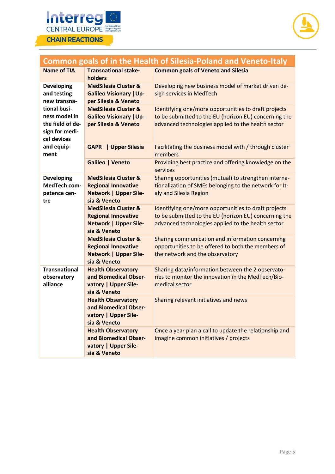



| <b>Common goals of in the Health of Silesia-Poland and Veneto-Italy</b>            |                                                                                                               |                                                                                                                                                                     |  |
|------------------------------------------------------------------------------------|---------------------------------------------------------------------------------------------------------------|---------------------------------------------------------------------------------------------------------------------------------------------------------------------|--|
| <b>Name of TIA</b>                                                                 | <b>Transnational stake-</b><br>holders                                                                        | <b>Common goals of Veneto and Silesia</b>                                                                                                                           |  |
| <b>Developing</b><br>and testing<br>new transna-                                   | <b>MedSilesia Cluster &amp;</b><br><b>Galileo Visionary   Up-</b><br>per Silesia & Veneto                     | Developing new business model of market driven de-<br>sign services in MedTech                                                                                      |  |
| tional busi-<br>ness model in<br>the field of de-<br>sign for medi-<br>cal devices | <b>MedSilesia Cluster &amp;</b><br><b>Galileo Visionary   Up-</b><br>per Silesia & Veneto                     | Identifying one/more opportunities to draft projects<br>to be submitted to the EU (horizon EU) concerning the<br>advanced technologies applied to the health sector |  |
| and equip-<br>ment                                                                 | <b>Upper Silesia</b><br><b>GAPR</b><br>L                                                                      | Facilitating the business model with / through cluster<br>members                                                                                                   |  |
|                                                                                    | Galileo   Veneto                                                                                              | Providing best practice and offering knowledge on the<br>services                                                                                                   |  |
| <b>Developing</b><br>MedTech com-<br>petence cen-<br>tre                           | <b>MedSilesia Cluster &amp;</b><br><b>Regional Innovative</b><br><b>Network   Upper Sile-</b><br>sia & Veneto | Sharing opportunities (mutual) to strengthen interna-<br>tionalization of SMEs belonging to the network for It-<br>aly and Silesia Region                           |  |
|                                                                                    | <b>MedSilesia Cluster &amp;</b><br><b>Regional Innovative</b><br><b>Network   Upper Sile-</b><br>sia & Veneto | Identifying one/more opportunities to draft projects<br>to be submitted to the EU (horizon EU) concerning the<br>advanced technologies applied to the health sector |  |
|                                                                                    | <b>MedSilesia Cluster &amp;</b><br><b>Regional Innovative</b><br><b>Network   Upper Sile-</b><br>sia & Veneto | Sharing communication and information concerning<br>opportunities to be offered to both the members of<br>the network and the observatory                           |  |
| <b>Transnational</b><br>observatory<br>alliance                                    | <b>Health Observatory</b><br>and Biomedical Obser-<br>vatory   Upper Sile-<br>sia & Veneto                    | Sharing data/information between the 2 observato-<br>ries to monitor the innovation in the MedTech/Bio-<br>medical sector                                           |  |
|                                                                                    | <b>Health Observatory</b><br>and Biomedical Obser-<br>vatory   Upper Sile-<br>sia & Veneto                    | Sharing relevant initiatives and news                                                                                                                               |  |
|                                                                                    | <b>Health Observatory</b><br>and Biomedical Obser-<br>vatory   Upper Sile-<br>sia & Veneto                    | Once a year plan a call to update the relationship and<br>imagine common initiatives / projects                                                                     |  |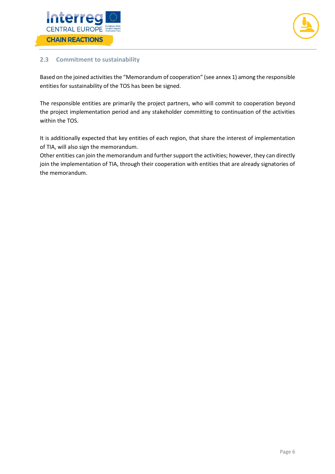



#### <span id="page-6-0"></span>**2.3 Commitment to sustainability**

Based on the joined activities the "Memorandum of cooperation" (see annex 1) among the responsible entities for sustainability of the TOS has been be signed.

The responsible entities are primarily the project partners, who will commit to cooperation beyond the project implementation period and any stakeholder committing to continuation of the activities within the TOS.

It is additionally expected that key entities of each region, that share the interest of implementation of TIA, will also sign the memorandum.

Other entities can join the memorandum and further support the activities; however, they can directly join the implementation of TIA, through their cooperation with entities that are already signatories of the memorandum.